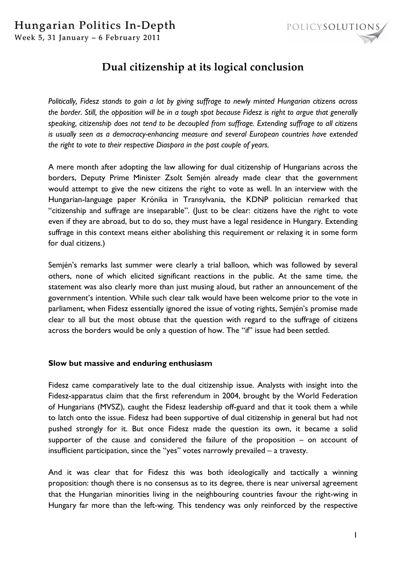## Hungarian Politics In-Depth



Week 5, 31 January – 6 February 2011

# **Dual citizenship at its logical conclusion**

*Politically, Fidesz stands to gain a lot by giving suffrage to newly minted Hungarian citizens across the border. Still, the opposition will be in a tough spot because Fidesz is right to argue that generally speaking, citizenship does not tend to be decoupled from suffrage. Extending suffrage to all citizens is usually seen as a democracy-enhancing measure and several European countries have extended the right to vote to their respective Diaspora in the past couple of years.*

A mere month after adopting the law allowing for dual citizenship of Hungarians across the borders, Deputy Prime Minister Zsolt Semjén already made clear that the government would attempt to give the new citizens the right to vote as well. In an interview with the Hungarian-language paper Krónika in Transylvania, the KDNP politician remarked that "citizenship and suffrage are inseparable". (Just to be clear: citizens have the right to vote even if they are abroad, but to do so, they must have a legal residence in Hungary. Extending suffrage in this context means either abolishing this requirement or relaxing it in some form for dual citizens.)

Semjén's remarks last summer were clearly a trial balloon, which was followed by several others, none of which elicited significant reactions in the public. At the same time, the statement was also clearly more than just musing aloud, but rather an announcement of the government's intention. While such clear talk would have been welcome prior to the vote in parliament, when Fidesz essentially ignored the issue of voting rights, Semjén's promise made clear to all but the most obtuse that the question with regard to the suffrage of citizens across the borders would be only a question of how. The "if" issue had been settled.

#### **Slow but massive and enduring enthusiasm**

Fidesz came comparatively late to the dual citizenship issue. Analysts with insight into the Fidesz-apparatus claim that the first referendum in 2004, brought by the World Federation of Hungarians (MVSZ), caught the Fidesz leadership off-guard and that it took them a while to latch onto the issue. Fidesz had been supportive of dual citizenship in general but had not pushed strongly for it. But once Fidesz made the question its own, it became a solid supporter of the cause and considered the failure of the proposition – on account of insufficient participation, since the "yes" votes narrowly prevailed – a travesty.

And it was clear that for Fidesz this was both ideologically and tactically a winning proposition: though there is no consensus as to its degree, there is near universal agreement that the Hungarian minorities living in the neighbouring countries favour the right-wing in Hungary far more than the left-wing. This tendency was only reinforced by the respective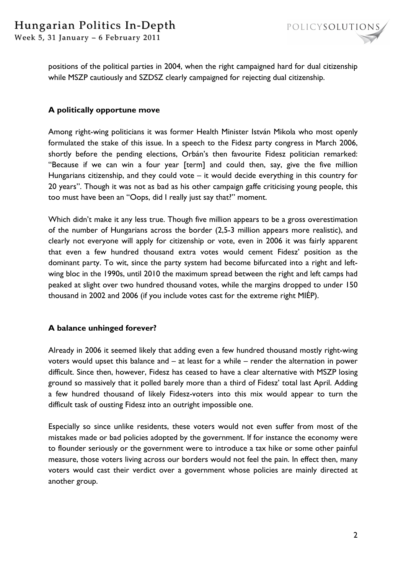

Week 5, 31 January – 6 February 2011

positions of the political parties in 2004, when the right campaigned hard for dual citizenship while MSZP cautiously and SZDSZ clearly campaigned for rejecting dual citizenship.

### **A politically opportune move**

Among right-wing politicians it was former Health Minister István Mikola who most openly formulated the stake of this issue. In a speech to the Fidesz party congress in March 2006, shortly before the pending elections, Orbán's then favourite Fidesz politician remarked: "Because if we can win a four year [term] and could then, say, give the five million Hungarians citizenship, and they could vote – it would decide everything in this country for 20 years". Though it was not as bad as his other campaign gaffe criticising young people, this too must have been an "Oops, did I really just say that?" moment.

Which didn't make it any less true. Though five million appears to be a gross overestimation of the number of Hungarians across the border (2,5-3 million appears more realistic), and clearly not everyone will apply for citizenship or vote, even in 2006 it was fairly apparent that even a few hundred thousand extra votes would cement Fidesz' position as the dominant party. To wit, since the party system had become bifurcated into a right and leftwing bloc in the 1990s, until 2010 the maximum spread between the right and left camps had peaked at slight over two hundred thousand votes, while the margins dropped to under 150 thousand in 2002 and 2006 (if you include votes cast for the extreme right MIÉP).

#### **A balance unhinged forever?**

Already in 2006 it seemed likely that adding even a few hundred thousand mostly right-wing voters would upset this balance and – at least for a while – render the alternation in power difficult. Since then, however, Fidesz has ceased to have a clear alternative with MSZP losing ground so massively that it polled barely more than a third of Fidesz' total last April. Adding a few hundred thousand of likely Fidesz-voters into this mix would appear to turn the difficult task of ousting Fidesz into an outright impossible one.

Especially so since unlike residents, these voters would not even suffer from most of the mistakes made or bad policies adopted by the government. If for instance the economy were to flounder seriously or the government were to introduce a tax hike or some other painful measure, those voters living across our borders would not feel the pain. In effect then, many voters would cast their verdict over a government whose policies are mainly directed at another group.